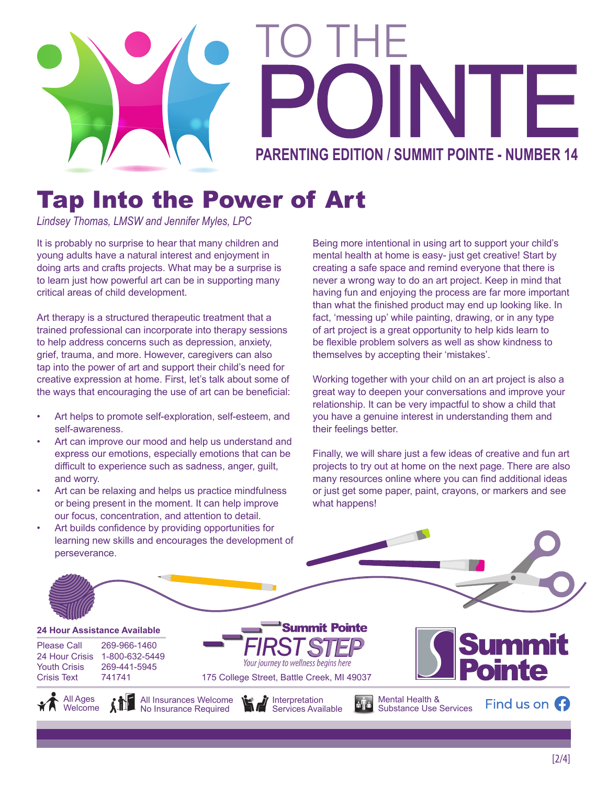

# Tap Into the Power of Art

*Lindsey Thomas, LMSW and Jennifer Myles, LPC*

It is probably no surprise to hear that many children and young adults have a natural interest and enjoyment in doing arts and crafts projects. What may be a surprise is to learn just how powerful art can be in supporting many critical areas of child development.

Art therapy is a structured therapeutic treatment that a trained professional can incorporate into therapy sessions to help address concerns such as depression, anxiety, grief, trauma, and more. However, caregivers can also tap into the power of art and support their child's need for creative expression at home. First, let's talk about some of the ways that encouraging the use of art can be beneficial:

- Art helps to promote self-exploration, self-esteem, and self-awareness.
- Art can improve our mood and help us understand and express our emotions, especially emotions that can be difficult to experience such as sadness, anger, guilt, and worry.
- Art can be relaxing and helps us practice mindfulness or being present in the moment. It can help improve our focus, concentration, and attention to detail.
- Art builds confidence by providing opportunities for perseverance.

Being more intentional in using art to support your child's mental health at home is easy- just get creative! Start by creating a safe space and remind everyone that there is never a wrong way to do an art project. Keep in mind that having fun and enjoying the process are far more important than what the finished product may end up looking like. In fact, 'messing up' while painting, drawing, or in any type of art project is a great opportunity to help kids learn to be flexible problem solvers as well as show kindness to themselves by accepting their 'mistakes'.

Working together with your child on an art project is also a great way to deepen your conversations and improve your relationship. It can be very impactful to show a child that you have a genuine interest in understanding them and their feelings better.

Finally, we will share just a few ideas of creative and fun art projects to try out at home on the next page. There are also many resources online where you can find additional ideas or just get some paper, paint, crayons, or markers and see what happens!